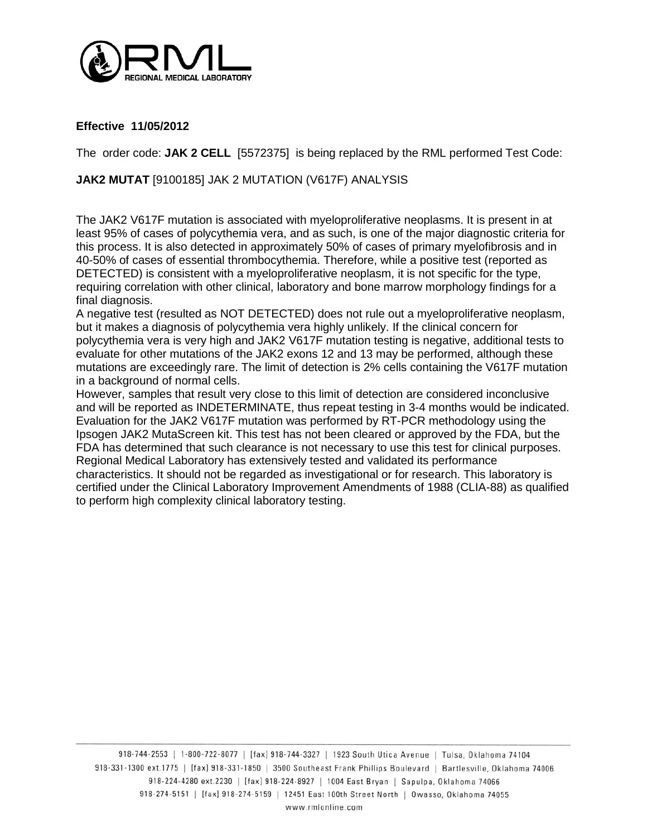

**Effective 11/05/2012**

The order code: **JAK 2 CELL** [5572375] is being replaced by the RML performed Test Code:

## **JAK2 MUTAT** [9100185] JAK 2 MUTATION (V617F) ANALYSIS

The JAK2 V617F mutation is associated with myeloproliferative neoplasms. It is present in at least 95% of cases of polycythemia vera, and as such, is one of the major diagnostic criteria for this process. It is also detected in approximately 50% of cases of primary myelofibrosis and in 40-50% of cases of essential thrombocythemia. Therefore, while a positive test (reported as DETECTED) is consistent with a myeloproliferative neoplasm, it is not specific for the type, requiring correlation with other clinical, laboratory and bone marrow morphology findings for a final diagnosis.

A negative test (resulted as NOT DETECTED) does not rule out a myeloproliferative neoplasm, but it makes a diagnosis of polycythemia vera highly unlikely. If the clinical concern for polycythemia vera is very high and JAK2 V617F mutation testing is negative, additional tests to evaluate for other mutations of the JAK2 exons 12 and 13 may be performed, although these mutations are exceedingly rare. The limit of detection is 2% cells containing the V617F mutation in a background of normal cells.

However, samples that result very close to this limit of detection are considered inconclusive and will be reported as INDETERMINATE, thus repeat testing in 3-4 months would be indicated. Evaluation for the JAK2 V617F mutation was performed by RT-PCR methodology using the Ipsogen JAK2 MutaScreen kit. This test has not been cleared or approved by the FDA, but the FDA has determined that such clearance is not necessary to use this test for clinical purposes. Regional Medical Laboratory has extensively tested and validated its performance characteristics. It should not be regarded as investigational or for research. This laboratory is certified under the Clinical Laboratory Improvement Amendments of 1988 (CLIA-88) as qualified to perform high complexity clinical laboratory testing.